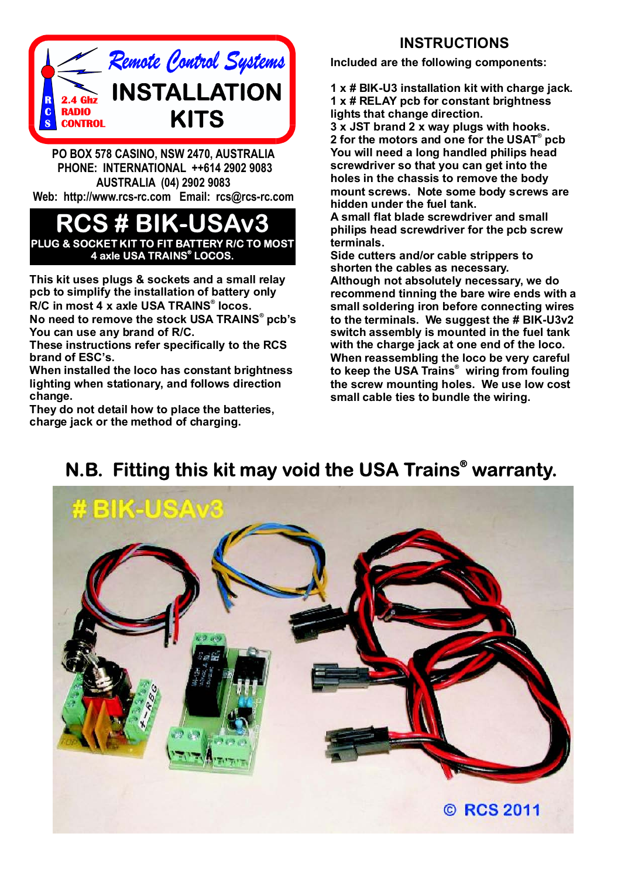

**PO BOX 578 CASINO, NSW 2470, AUSTRALIA PHONE: INTERNATIONAL ++614 2902 9083 AUSTRALIA (04) 2902 9083 Web: http://www.rcs-rc.com Email: rcs@rcs-rc.com**

## **RCS # BIK-USAv3 PLUG & SOCKET KIT TO FIT BATTERY R/C TO MOST 4 axle USA TRAINS LOCOS. ®**

**This kit uses plugs & sockets and a small relay pcb to simplify the installation of battery only**  $R/C$  in most 4 **x** axle USA TRAINS® locos.

**No need to remove the stock USA TRAINS pcb's ® You can use any brand of R/C.**

**These instructions refer specifically to the RCS brand of ESC's.**

**When installed the loco has constant brightness lighting when stationary, and follows direction change.**

**They do not detail how to place the batteries, charge jack or the method of charging.**

## **INSTRUCTIONS**

**Included are the following components:**

**1 x # BIK-U3 installation kit with charge jack. 1 x # RELAY pcb for constant brightness lights that change direction.**

**3 x JST brand 2 x way plugs with hooks. 2** for the motors and one for the USAT® pcb **You will need a long handled philips head screwdriver so that you can get into the holes in the chassis to remove the body mount screws. Note some body screws are hidden under the fuel tank.**

**A small flat blade screwdriver and small philips head screwdriver for the pcb screw terminals.**

**Side cutters and/or cable strippers to shorten the cables as necessary. Although not absolutely necessary, we do recommend tinning the bare wire ends with a small soldering iron before connecting wires to the terminals. We suggest the # BIK-U3v2 When reassembling the loco be very careful** to keep the USA Trains<sup>®</sup> wiring from fouling **the screw mounting holes. We use low cost small cable ties to bundle the wiring. switch assembly is mounted in the fuel tank with the charge jack at one end of the loco.**



## **N.B. Fitting this kit may void the USA Trains<sup>®</sup> warranty.**